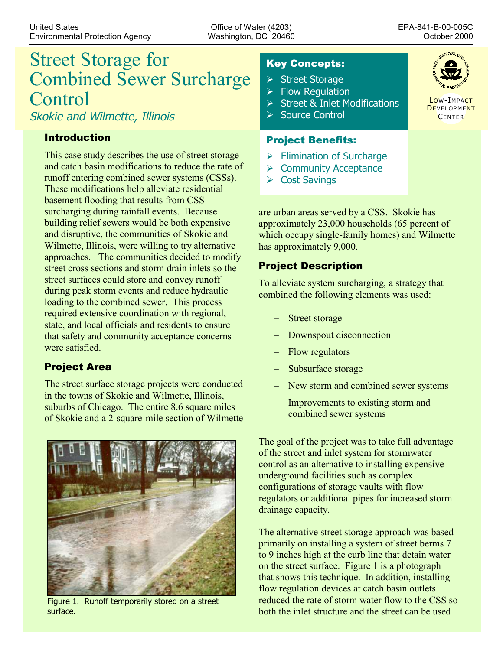# Street Storage for Combined Sewer Surcharge Control

Skokie and Wilmette, Illinois

### Introduction

This case study describes the use of street storage and catch basin modifications to reduce the rate of runoff entering combined sewer systems (CSSs). These modifications help alleviate residential basement flooding that results from CSS surcharging during rainfall events. Because building relief sewers would be both expensive and disruptive, the communities of Skokie and Wilmette, Illinois, were willing to try alternative approaches. The communities decided to modify street cross sections and storm drain inlets so the street surfaces could store and convey runoff during peak storm events and reduce hydraulic loading to the combined sewer. This process required extensive coordination with regional, state, and local officials and residents to ensure that safety and community acceptance concerns were satisfied.

# Project Area

The street surface storage projects were conducted in the towns of Skokie and Wilmette, Illinois, suburbs of Chicago. The entire 8.6 square miles of Skokie and a 2-square-mile section of Wilmette



Figure 1. Runoff temporarily stored on a street surface.

# Key Concepts:

- ¾Street Storage
- $\triangleright$  Flow Regulation
- $\triangleright$  Street & Inlet Modifications
- **► Source Control**

#### Project Benefits:

- $\triangleright$  Elimination of Surcharge
- $\triangleright$  Community Acceptance
- ¾Cost Savings

are urban areas served by a CSS. Skokie has approximately 23,000 households (65 percent of which occupy single-family homes) and Wilmette has approximately 9,000.

## Project Description

To alleviate system surcharging, a strategy that combined the following elements was used:

- Street storage
- Downspout disconnection
- Flow regulators
- Subsurface storage
- New storm and combined sewer systems
- Improvements to existing storm and combined sewer systems

The goal of the project was to take full advantage of the street and inlet system for stormwater control as an alternative to installing expensive underground facilities such as complex configurations of storage vaults with flow regulators or additional pipes for increased storm drainage capacity.

The alternative street storage approach was based primarily on installing a system of street berms 7 to 9 inches high at the curb line that detain water on the street surface. Figure 1 is a photograph that shows this technique. In addition, installing flow regulation devices at catch basin outlets reduced the rate of storm water flow to the CSS so both the inlet structure and the street can be used



LOW-IMPACT **DEVELOPMENT CENTER**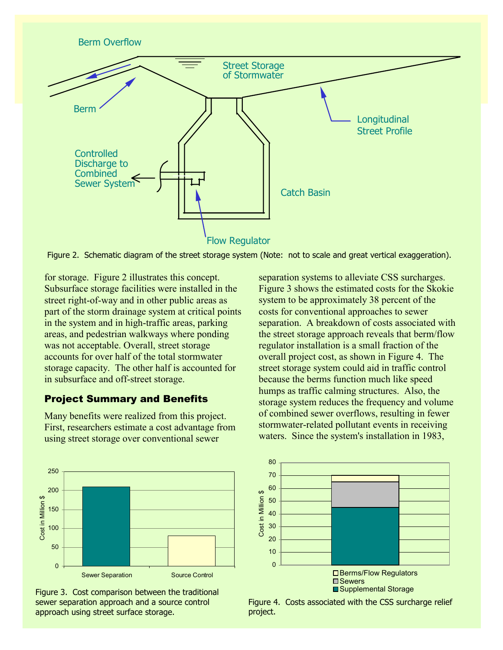

Figure 2. Schematic diagram of the street storage system (Note: not to scale and great vertical exaggeration).

for storage. Figure 2 illustrates this concept. Subsurface storage facilities were installed in the street right-of-way and in other public areas as part of the storm drainage system at critical points in the system and in high-traffic areas, parking areas, and pedestrian walkways where ponding was not acceptable. Overall, street storage accounts for over half of the total stormwater storage capacity. The other half is accounted for in subsurface and off-street storage.

#### Project Summary and Benefits

Many benefits were realized from this project. First, researchers estimate a cost advantage from using street storage over conventional sewer



Figure 3. Cost comparison between the traditional sewer separation approach and a source control approach using street surface storage.

separation systems to alleviate CSS surcharges. Figure 3 shows the estimated costs for the Skokie system to be approximately 38 percent of the costs for conventional approaches to sewer separation. A breakdown of costs associated with the street storage approach reveals that berm/flow regulator installation is a small fraction of the overall project cost, as shown in Figure 4. The street storage system could aid in traffic control because the berms function much like speed humps as traffic calming structures. Also, the storage system reduces the frequency and volume of combined sewer overflows, resulting in fewer stormwater-related pollutant events in receiving waters. Since the system's installation in 1983,



Figure 4. Costs associated with the CSS surcharge relief project.